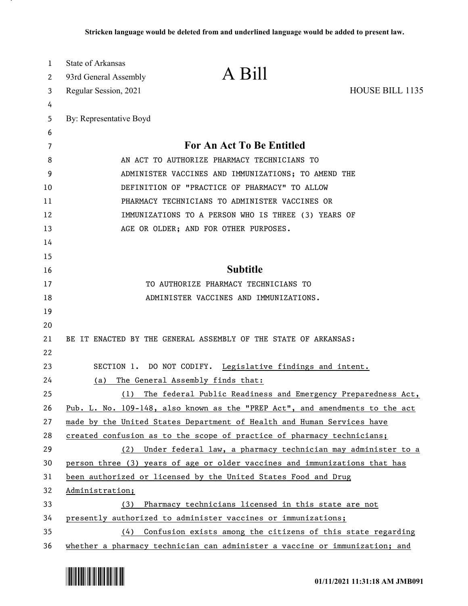| 1        | State of Arkansas                           |                                                                              |                 |
|----------|---------------------------------------------|------------------------------------------------------------------------------|-----------------|
| 2        | 93rd General Assembly                       | A Bill                                                                       |                 |
| 3        | Regular Session, 2021                       |                                                                              | HOUSE BILL 1135 |
| 4        |                                             |                                                                              |                 |
| 5        | By: Representative Boyd                     |                                                                              |                 |
| 6        |                                             |                                                                              |                 |
| 7        |                                             | <b>For An Act To Be Entitled</b>                                             |                 |
| 8        | AN ACT TO AUTHORIZE PHARMACY TECHNICIANS TO |                                                                              |                 |
| 9        |                                             | ADMINISTER VACCINES AND IMMUNIZATIONS; TO AMEND THE                          |                 |
| 10       |                                             | DEFINITION OF "PRACTICE OF PHARMACY" TO ALLOW                                |                 |
| 11       |                                             | PHARMACY TECHNICIANS TO ADMINISTER VACCINES OR                               |                 |
| 12       |                                             | IMMUNIZATIONS TO A PERSON WHO IS THREE (3) YEARS OF                          |                 |
| 13       |                                             | AGE OR OLDER; AND FOR OTHER PURPOSES.                                        |                 |
| 14       |                                             |                                                                              |                 |
| 15<br>16 |                                             | <b>Subtitle</b>                                                              |                 |
| 17       |                                             | TO AUTHORIZE PHARMACY TECHNICIANS TO                                         |                 |
| 18       |                                             | ADMINISTER VACCINES AND IMMUNIZATIONS.                                       |                 |
| 19       |                                             |                                                                              |                 |
| 20       |                                             |                                                                              |                 |
| 21       |                                             | BE IT ENACTED BY THE GENERAL ASSEMBLY OF THE STATE OF ARKANSAS:              |                 |
| 22       |                                             |                                                                              |                 |
| 23       |                                             | SECTION 1. DO NOT CODIFY. Legislative findings and intent.                   |                 |
| 24       | (a)                                         | The General Assembly finds that:                                             |                 |
| 25       | (1)                                         | The federal Public Readiness and Emergency Preparedness Act,                 |                 |
| 26       |                                             | Pub. L. No. 109-148, also known as the "PREP Act", and amendments to the act |                 |
| 27       |                                             | made by the United States Department of Health and Human Services have       |                 |
| 28       |                                             | created confusion as to the scope of practice of pharmacy technicians;       |                 |
| 29       |                                             | (2) Under federal law, a pharmacy technician may administer to a             |                 |
| 30       |                                             | person three (3) years of age or older vaccines and immunizations that has   |                 |
| 31       |                                             | been authorized or licensed by the United States Food and Drug               |                 |
| 32       | Administration;                             |                                                                              |                 |
| 33       | (3)                                         | Pharmacy technicians licensed in this state are not                          |                 |
| 34       |                                             | presently authorized to administer vaccines or immunizations;                |                 |
| 35       |                                             | (4) Confusion exists among the citizens of this state regarding              |                 |
| 36       |                                             | whether a pharmacy technician can administer a vaccine or immunization; and  |                 |

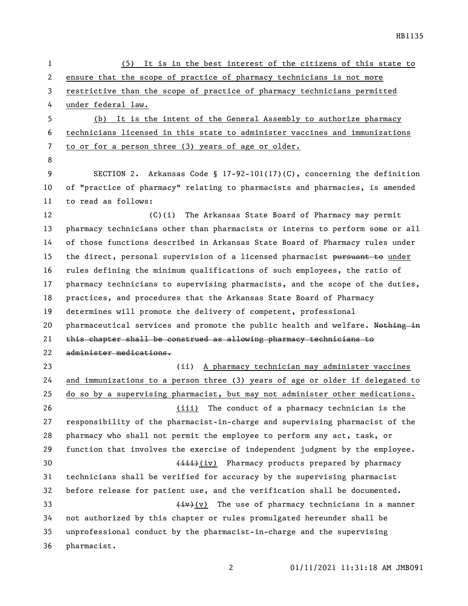HB1135

| It is in the best interest of the citizens of this state to<br>(5)            |  |  |
|-------------------------------------------------------------------------------|--|--|
| ensure that the scope of practice of pharmacy technicians is not more         |  |  |
| restrictive than the scope of practice of pharmacy technicians permitted      |  |  |
| under federal law.                                                            |  |  |
| It is the intent of the General Assembly to authorize pharmacy<br>(b)         |  |  |
| technicians licensed in this state to administer vaccines and immunizations   |  |  |
| to or for a person three (3) years of age or older.                           |  |  |
|                                                                               |  |  |
| SECTION 2. Arkansas Code § 17-92-101(17)(C), concerning the definition        |  |  |
| of "practice of pharmacy" relating to pharmacists and pharmacies, is amended  |  |  |
| to read as follows:                                                           |  |  |
| The Arkansas State Board of Pharmacy may permit<br>$(C)$ (i)                  |  |  |
| pharmacy technicians other than pharmacists or interns to perform some or all |  |  |
| of those functions described in Arkansas State Board of Pharmacy rules under  |  |  |
| the direct, personal supervision of a licensed pharmacist pursuant to under   |  |  |
| rules defining the minimum qualifications of such employees, the ratio of     |  |  |
| pharmacy technicians to supervising pharmacists, and the scope of the duties, |  |  |
| practices, and procedures that the Arkansas State Board of Pharmacy           |  |  |
| determines will promote the delivery of competent, professional               |  |  |
| pharmaceutical services and promote the public health and welfare. Nothing in |  |  |
| this chapter shall be construed as allowing pharmacy technicians to           |  |  |
| administer medications.                                                       |  |  |
| (ii) A pharmacy technician may administer vaccines                            |  |  |
| and immunizations to a person three (3) years of age or older if delegated to |  |  |
| do so by a supervising pharmacist, but may not administer other medications.  |  |  |
| The conduct of a pharmacy technician is the<br>(iii)                          |  |  |
| responsibility of the pharmacist-in-charge and supervising pharmacist of the  |  |  |
| pharmacy who shall not permit the employee to perform any act, task, or       |  |  |
| function that involves the exercise of independent judgment by the employee.  |  |  |
| (iii)(iv) Pharmacy products prepared by pharmacy                              |  |  |
| technicians shall be verified for accuracy by the supervising pharmacist      |  |  |
| before release for patient use, and the verification shall be documented.     |  |  |
| $\frac{div}{v}$ The use of pharmacy technicians in a manner                   |  |  |
| not authorized by this chapter or rules promulgated hereunder shall be        |  |  |
| unprofessional conduct by the pharmacist-in-charge and the supervising        |  |  |
| pharmacist.                                                                   |  |  |
|                                                                               |  |  |